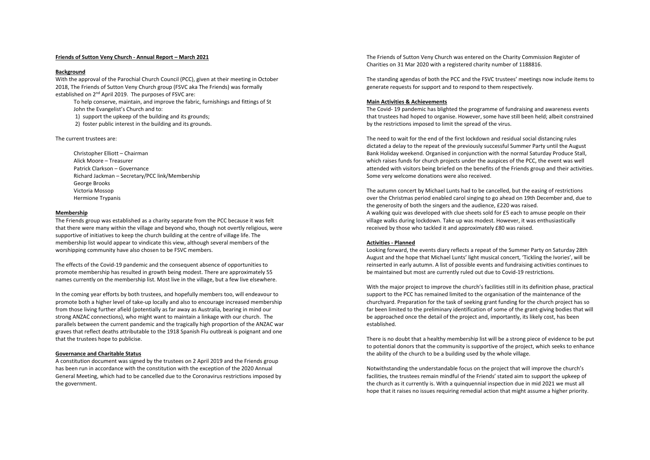# **Friends of Sutton Veny Church - Annual Report – March 2021**

## **Background**

With the approval of the Parochial Church Council (PCC), given at their meeting in October 2018, The Friends of Sutton Veny Church group (FSVC aka The Friends) was formally established on 2<sup>nd</sup> April 2019. The purposes of FSVC are:

To help conserve, maintain, and improve the fabric, furnishings and fittings of St John the Evangelist's Church and to:

1) support the upkeep of the building and its grounds;

2) foster public interest in the building and its grounds.

The current trustees are:

Christopher Elliott – Chairman Alick Moore – Treasurer Patrick Clarkson – Governance Richard Jackman – Secretary/PCC link/Membership George Brooks Victoria Mossop Hermione Trypanis

## **Membership**

The Friends group was established as a charity separate from the PCC because it was felt that there were many within the village and beyond who, though not overtly religious, were supportive of initiatives to keep the church building at the centre of village life. The membership list would appear to vindicate this view, although several members of the worshipping community have also chosen to be FSVC members.

The effects of the Covid-19 pandemic and the consequent absence of opportunities to promote membership has resulted in growth being modest. There are approximately 55 names currently on the membership list. Most live in the village, but a few live elsewhere.

In the coming year efforts by both trustees, and hopefully members too, will endeavour to promote both a higher level of take-up locally and also to encourage increased membership from those living further afield (potentially as far away as Australia, bearing in mind our strong ANZAC connections), who might want to maintain a linkage with our church. The parallels between the current pandemic and the tragically high proportion of the ANZAC war graves that reflect deaths attributable to the 1918 Spanish Flu outbreak is poignant and one that the trustees hope to publicise.

# **Governance and Charitable Status**

A constitution document was signed by the trustees on 2 April 2019 and the Friends group has been run in accordance with the constitution with the exception of the 2020 Annual General Meeting, which had to be cancelled due to the Coronavirus restrictions imposed by the government.

The Friends of Sutton Veny Church was entered on the Charity Commission Register of Charities on 31 Mar 2020 with a registered charity number of 1188816.

The standing agendas of both the PCC and the FSVC trustees' meetings now include items to generate requests for support and to respond to them respectively.

## **Main Activities & Achievements**

The Covid- 19 pandemic has blighted the programme of fundraising and awareness events that trustees had hoped to organise. However, some have still been held; albeit constrained by the restrictions imposed to limit the spread of the virus.

The need to wait for the end of the first lockdown and residual social distancing rules dictated a delay to the repeat of the previously successful Summer Party until the August Bank Holiday weekend. Organised in conjunction with the normal Saturday Produce Stall, which raises funds for church projects under the auspices of the PCC, the event was well attended with visitors being briefed on the benefits of the Friends group and their activities. Some very welcome donations were also received.

The autumn concert by Michael Lunts had to be cancelled, but the easing of restrictions over the Christmas period enabled carol singing to go ahead on 19th December and, due to the generosity of both the singers and the audience, £220 was raised. A walking quiz was developed with clue sheets sold for £5 each to amuse people on their village walks during lockdown. Take up was modest. However, it was enthusiastically received by those who tackled it and approximately £80 was raised.

## **Activities - Planned**

Looking forward, the events diary reflects a repeat of the Summer Party on Saturday 28th August and the hope that Michael Lunts' light musical concert, 'Tickling the Ivories', will be reinserted in early autumn. A list of possible events and fundraising activities continues to be maintained but most are currently ruled out due to Covid-19 restrictions.

With the major project to improve the church's facilities still in its definition phase, practical support to the PCC has remained limited to the organisation of the maintenance of the churchyard. Preparation for the task of seeking grant funding for the church project has so far been limited to the preliminary identification of some of the grant-giving bodies that will be approached once the detail of the project and, importantly, its likely cost, has been established.

There is no doubt that a healthy membership list will be a strong piece of evidence to be put to potential donors that the community is supportive of the project, which seeks to enhance the ability of the church to be a building used by the whole village.

Notwithstanding the understandable focus on the project that will improve the church's facilities, the trustees remain mindful of the Friends' stated aim to support the upkeep of the church as it currently is. With a quinquennial inspection due in mid 2021 we must all hope that it raises no issues requiring remedial action that might assume a higher priority.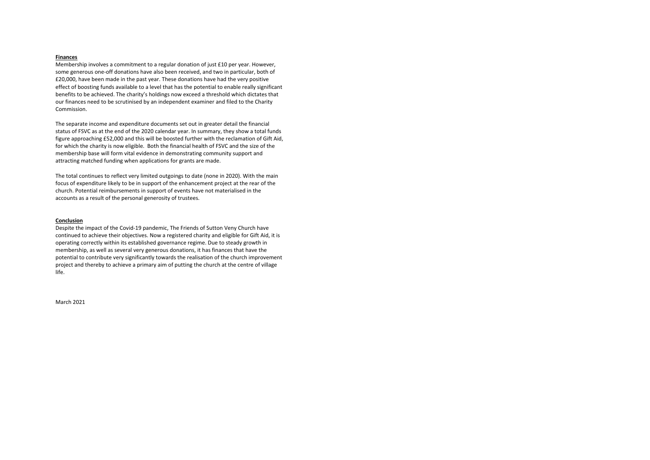# **Finances**

Membership involves a commitment to a regular donation of just £10 per year. However, some generous one-off donations have also been received, and two in particular, both of £20,000, have been made in the past year. These donations have had the very positive effect of boosting funds available to a level that has the potential to enable really significant benefits to be achieved. The charity's holdings now exceed a threshold which dictates that our finances need to be scrutinised by an independent examiner and filed to the Charity Commission.

The separate income and expenditure documents set out in greater detail the financial status of FSVC as at the end of the 2020 calendar year. In summary, they show a total funds figure approaching £52,000 and this will be boosted further with the reclamation of Gift Aid, for which the charity is now eligible. Both the financial health of FSVC and the size of the membership base will form vital evidence in demonstrating community support and attracting matched funding when applications for grants are made.

The total continues to reflect very limited outgoings to date (none in 2020). With the main focus of expenditure likely to be in support of the enhancement project at the rear of the church. Potential reimbursements in support of events have not materialised in the accounts as a result of the personal generosity of trustees.

## **Conclusion**

Despite the impact of the Covid-19 pandemic, The Friends of Sutton Veny Church have continued to achieve their objectives. Now a registered charity and eligible for Gift Aid, it is operating correctly within its established governance regime. Due to steady growth in membership, as well as several very generous donations, it has finances that have the potential to contribute very significantly towards the realisation of the church improvement project and thereby to achieve a primary aim of putting the church at the centre of village life.

March 2021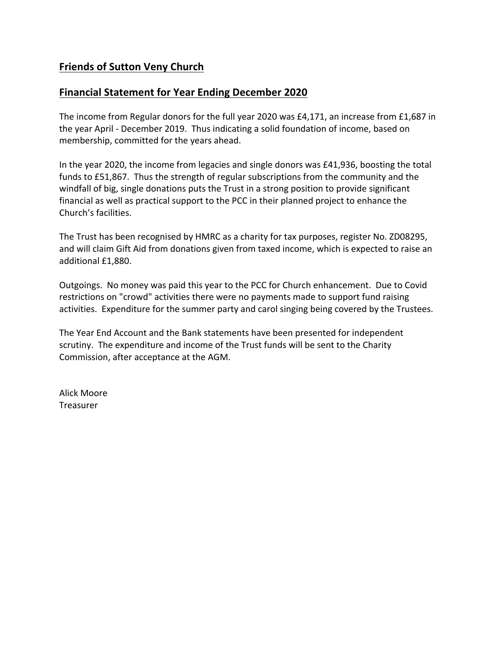# **Friends of Sutton Veny Church**

# **Financial Statement for Year Ending December 2020**

The income from Regular donors for the full year 2020 was £4,171, an increase from £1,687 in the year April - December 2019. Thus indicating a solid foundation of income, based on membership, committed for the years ahead.

In the year 2020, the income from legacies and single donors was £41,936, boosting the total funds to £51,867. Thus the strength of regular subscriptions from the community and the windfall of big, single donations puts the Trust in a strong position to provide significant financial as well as practical support to the PCC in their planned project to enhance the Church's facilities.

The Trust has been recognised by HMRC as a charity for tax purposes, register No. ZD08295, and will claim Gift Aid from donations given from taxed income, which is expected to raise an additional £1,880.

Outgoings. No money was paid this year to the PCC for Church enhancement. Due to Covid restrictions on "crowd" activities there were no payments made to support fund raising activities. Expenditure for the summer party and carol singing being covered by the Trustees.

The Year End Account and the Bank statements have been presented for independent scrutiny. The expenditure and income of the Trust funds will be sent to the Charity Commission, after acceptance at the AGM.

Alick Moore Treasurer